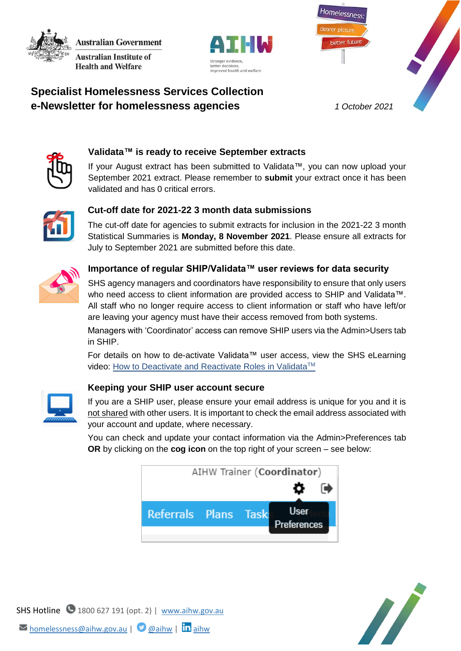**Australian Government Australian Institute of Health and Welfare** 





# **Specialist Homelessness Services Collection e-Newsletter for homelessness agencies** *1 October 2021*



## **Validata™ is ready to receive September extracts**

If your August extract has been submitted to Validata™, you can now upload your September 2021 extract. Please remember to **submit** your extract once it has been validated and has 0 critical errors.



## **Cut-off date for 2021-22 3 month data submissions**

The cut-off date for agencies to submit extracts for inclusion in the 2021-22 3 month Statistical Summaries is **Monday, 8 November 2021**. Please ensure all extracts for July to September 2021 are submitted before this date.



### **Importance of regular SHIP/Validata™ user reviews for data security**

SHS agency managers and coordinators have responsibility to ensure that only users who need access to client information are provided access to SHIP and Validata™. All staff who no longer require access to client information or staff who have left/or are leaving your agency must have their access removed from both systems.

Managers with 'Coordinator' access can remove SHIP users via the Admin>Users tab in SHIP.

For details on how to de-activate Validata™ user access, view the SHS eLearning video: [How to Deactivate and Reactivate Roles in Validata](https://youtu.be/rRbKd5gIc5Y)<sup>™</sup>



#### **Keeping your SHIP user account secure**

If you are a SHIP user, please ensure your email address is unique for you and it is not shared with other users. It is important to check the email address associated with your account and update, where necessary.

You can check and update your contact information via the Admin>Preferences tab **OR** by clicking on the **cog icon** on the top right of your screen – see below:





SHS Hotline 1800 627 191 (opt. 2) | [www.aihw.gov.au](http://www.aihw.gov.au/)  $\triangleright$  [homelessness@aihw.gov.au](mailto:homelessness@aihw.gov.au) |  $\bigcirc$  [@aihw](https://twitter.com/aihw) |  $\ln$ [aihw](https://www.linkedin.com/company/australian-institute-of-health-and-welfare/)